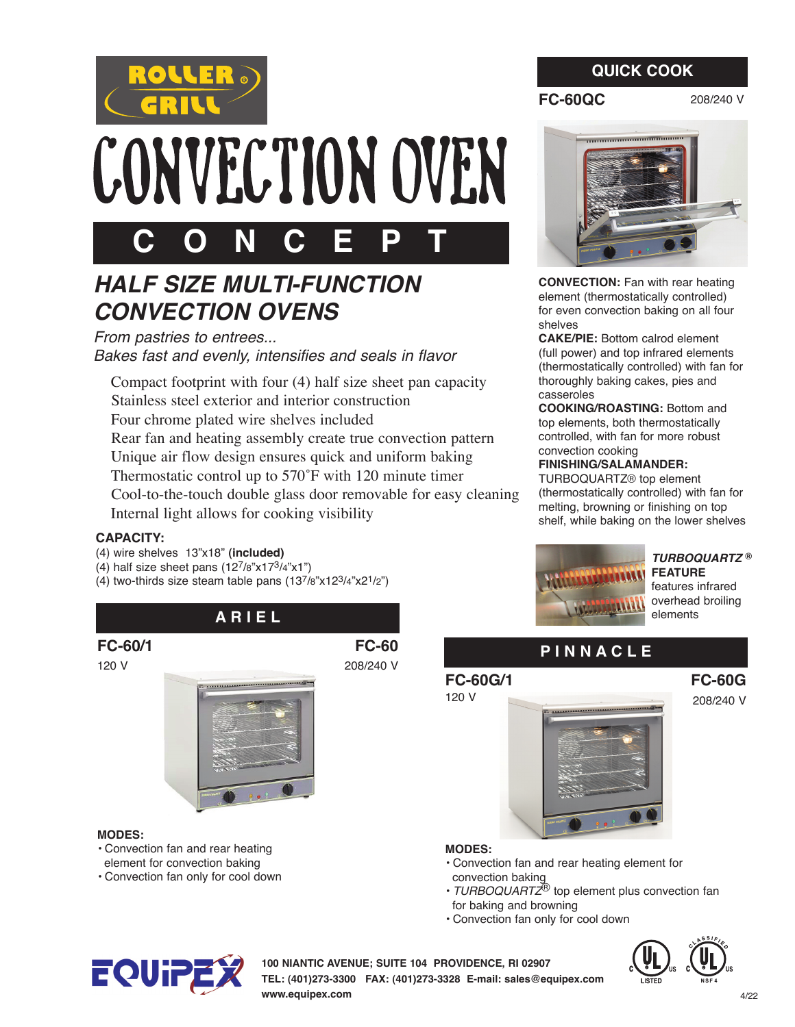

# CONVECTION OVEN

## **C O N C E P T**

## *HALF SIZE MULTI-FUNCTION CONVECTION OVENS*

*From pastries to entrees... Bakes fast and evenly, intensifies and seals in flavor* 

 Compact footprint with four (4) half size sheet pan capacity Stainless steel exterior and interior construction Four chrome plated wire shelves included Rear fan and heating assembly create true convection pattern Unique air flow design ensures quick and uniform baking Thermostatic control up to 570˚F with 120 minute timer Cool-to-the-touch double glass door removable for easy cleaning Internal light allows for cooking visibility

#### **CAPACITY:**

- (4) wire shelves 13"x18" **(included)**
- (4) half size sheet pans  $(12^7/8"x17^3/4"x1")$
- (4) two-thirds size steam table pans  $(13^{7}/8"x12^{3}/4"x2^{1}/2")$



**CONVECTION:** Fan with rear heating element (thermostatically controlled) for even convection baking on all four shelves

**CAKE/PIE:** Bottom calrod element (full power) and top infrared elements (thermostatically controlled) with fan for thoroughly baking cakes, pies and casseroles

**COOKING/ROASTING:** Bottom and top elements, both thermostatically controlled, with fan for more robust convection cooking

#### **FINISHING/SALAMANDER:**

TURBOQUARTZ® top element (thermostatically controlled) with fan for melting, browning or finishing on top shelf, while baking on the lower shelves



#### *TURBOQUARTZ* **® FEATURE**

features infrared overhead broiling elements

> **FC-60G**  208/240 V

## **A R I E L**

**FC-60/1** 

120 V



#### **MODES:**

- Convection fan and rear heating element for convection baking
- Convection fan only for cool down

**FC-60**  208/240 V

## **P I N N A C L E**

#### **FC-60G/1**  120 V



#### **MODES:**

- Convection fan and rear heating element for convection baking
- *TURBOQUARTZ*® top element plus convection fan for baking and browning
- Convection fan only for cool down



**100 NIANTIC AVENUE; SUITE 104 PROVIDENCE, RI 02907** 



**TEL: (401)273-3300 FAX: (401)273-3328 E-mail: sales@equipex.com www.equipex.com**

## **QUICK COOK**

208/240 V

**FC-60QC**